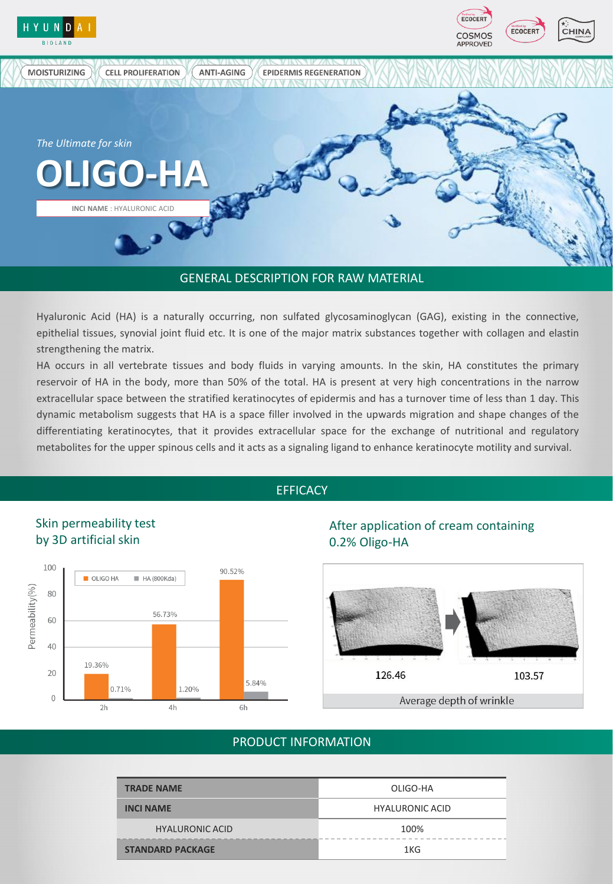

#### GENERAL DESCRIPTION FOR RAW MATERIAL

Hyaluronic Acid (HA) is a naturally occurring, non sulfated glycosaminoglycan (GAG), existing in the connective, epithelial tissues, synovial joint fluid etc. It is one of the major matrix substances together with collagen and elastin strengthening the matrix.

HA occurs in all vertebrate tissues and body fluids in varying amounts. In the skin, HA constitutes the primary reservoir of HA in the body, more than 50% of the total. HA is present at very high concentrations in the narrow extracellular space between the stratified keratinocytes of epidermis and has a turnover time of less than 1 day. This dynamic metabolism suggests that HA is a space filler involved in the upwards migration and shape changes of the differentiating keratinocytes, that it provides extracellular space for the exchange of nutritional and regulatory metabolites for the upper spinous cells and it acts as a signaling ligand to enhance keratinocyte motility and survival.

## **EFFICACY**

![](_page_0_Figure_5.jpeg)

# After application of cream containing 0.2% Oligo-HA

![](_page_0_Figure_7.jpeg)

## PRODUCT INFORMATION

| <b>TRADE NAME</b>       | OLIGO-HA               |
|-------------------------|------------------------|
| <b>INCI NAME</b>        | <b>HYALURONIC ACID</b> |
| <b>HYALURONIC ACID</b>  | 100%                   |
| <b>STANDARD PACKAGE</b> | 1KG                    |

# Skin permeability test by 3D artificial skin